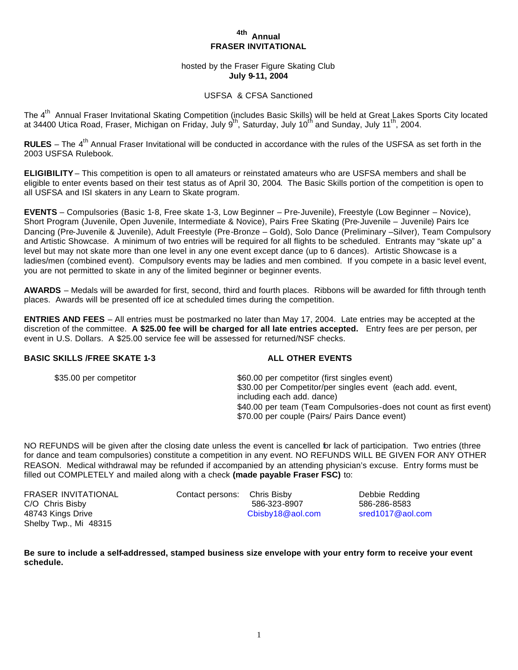# **4th Annual FRASER INVITATIONAL**

hosted by the Fraser Figure Skating Club **July 9-11, 2004**

# USFSA & CFSA Sanctioned

The 4<sup>th</sup> Annual Fraser Invitational Skating Competition (includes Basic Skills) will be held at Great Lakes Sports City located at 34400 Utica Road, Fraser, Michigan on Friday, July 9<sup>th</sup>, Saturday, July 10<sup>th</sup> and Sunday, July 11<sup>th</sup>, 2004.

RULES – The 4<sup>th</sup> Annual Fraser Invitational will be conducted in accordance with the rules of the USFSA as set forth in the 2003 USFSA Rulebook.

**ELIGIBILITY** – This competition is open to all amateurs or reinstated amateurs who are USFSA members and shall be eligible to enter events based on their test status as of April 30, 2004. The Basic Skills portion of the competition is open to all USFSA and ISI skaters in any Learn to Skate program.

**EVENTS** – Compulsories (Basic 1-8, Free skate 1-3, Low Beginner – Pre-Juvenile), Freestyle (Low Beginner – Novice), Short Program (Juvenile, Open Juvenile, Intermediate & Novice), Pairs Free Skating (Pre-Juvenile – Juvenile) Pairs Ice Dancing (Pre-Juvenile & Juvenile), Adult Freestyle (Pre-Bronze – Gold), Solo Dance (Preliminary –Silver), Team Compulsory and Artistic Showcase. A minimum of two entries will be required for all flights to be scheduled. Entrants may "skate up" a level but may not skate more than one level in any one event except dance (up to 6 dances).Artistic Showcase is a ladies/men (combined event). Compulsory events may be ladies and men combined. If you compete in a basic level event, you are not permitted to skate in any of the limited beginner or beginner events.

**AWARDS** – Medals will be awarded for first, second, third and fourth places. Ribbons will be awarded for fifth through tenth places. Awards will be presented off ice at scheduled times during the competition.

**ENTRIES AND FEES** – All entries must be postmarked no later than May 17, 2004. Late entries may be accepted at the discretion of the committee. **A \$25.00 fee will be charged for all late entries accepted.** Entry fees are per person, per event in U.S. Dollars. A \$25.00 service fee will be assessed for returned/NSF checks.

### **BASIC SKILLS /FREE SKATE 1-3 ALL OTHER EVENTS**

| \$35.00 per competitor | \$60.00 per competitor (first singles event)                       |
|------------------------|--------------------------------------------------------------------|
|                        | \$30.00 per Competitor/per singles event (each add. event,         |
|                        | including each add. dance)                                         |
|                        | \$40.00 per team (Team Compulsories-does not count as first event) |
|                        | \$70.00 per couple (Pairs/ Pairs Dance event)                      |

NO REFUNDS will be given after the closing date unless the event is cancelled for lack of participation. Two entries (three for dance and team compulsories) constitute a competition in any event. NO REFUNDS WILL BE GIVEN FOR ANY OTHER REASON. Medical withdrawal may be refunded if accompanied by an attending physician's excuse. Entry forms must be filled out COMPLETELY and mailed along with a check **(made payable Fraser FSC)** to:

FRASER INVITATIONAL Contact persons: Chris Bisby Debbie Redding Shelby Twp., Mi 48315

C/O Chris Bisby 586-323-8907 586-286-8583 48743 Kings Drive Cbisby18@aol.com sred1017@aol.com

**Be sure to include a self-addressed, stamped business size envelope with your entry form to receive your event schedule.**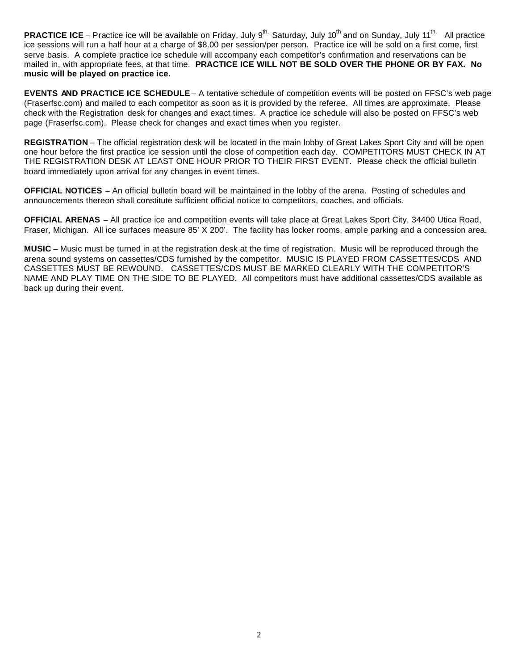PRACTICE ICE – Practice ice will be available on Friday, July 9<sup>th,</sup> Saturday, July 10<sup>th</sup> and on Sunday, July 11<sup>th.</sup> All practice ice sessions will run a half hour at a charge of \$8.00 per session/per person. Practice ice will be sold on a first come, first serve basis. A complete practice ice schedule will accompany each competitor's confirmation and reservations can be mailed in, with appropriate fees, at that time. **PRACTICE ICE WILL NOT BE SOLD OVER THE PHONE OR BY FAX. No music will be played on practice ice.**

**EVENTS AND PRACTICE ICE SCHEDULE** – A tentative schedule of competition events will be posted on FFSC's web page (Fraserfsc.com) and mailed to each competitor as soon as it is provided by the referee. All times are approximate. Please check with the Registration desk for changes and exact times. A practice ice schedule will also be posted on FFSC's web page (Fraserfsc.com). Please check for changes and exact times when you register.

**REGISTRATION** – The official registration desk will be located in the main lobby of Great Lakes Sport City and will be open one hour before the first practice ice session until the close of competition each day. COMPETITORS MUST CHECK IN AT THE REGISTRATION DESK AT LEAST ONE HOUR PRIOR TO THEIR FIRST EVENT. Please check the official bulletin board immediately upon arrival for any changes in event times.

**OFFICIAL NOTICES** – An official bulletin board will be maintained in the lobby of the arena. Posting of schedules and announcements thereon shall constitute sufficient official notice to competitors, coaches, and officials.

**OFFICIAL ARENAS** – All practice ice and competition events will take place at Great Lakes Sport City, 34400 Utica Road, Fraser, Michigan. All ice surfaces measure 85' X 200'. The facility has locker rooms, ample parking and a concession area.

**MUSIC** – Music must be turned in at the registration desk at the time of registration. Music will be reproduced through the arena sound systems on cassettes/CDS furnished by the competitor. MUSIC IS PLAYED FROM CASSETTES/CDS AND CASSETTES MUST BE REWOUND. CASSETTES/CDS MUST BE MARKED CLEARLY WITH THE COMPETITOR'S NAME AND PLAY TIME ON THE SIDE TO BE PLAYED. All competitors must have additional cassettes/CDS available as back up during their event.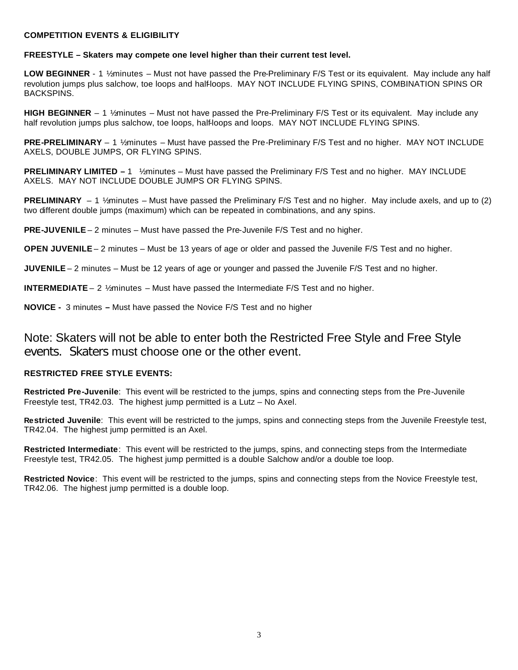#### **COMPETITION EVENTS & ELIGIBILITY**

#### **FREESTYLE – Skaters may compete one level higher than their current test level.**

LOW BEGINNER - 1 1/<sub>2</sub> minutes – Must not have passed the Pre-Preliminary F/S Test or its equivalent. May include any half revolution jumps plus salchow, toe loops and half-loops. MAY NOT INCLUDE FLYING SPINS, COMBINATION SPINS OR BACKSPINS.

**HIGH BEGINNER** – 1 ½ minutes – Must not have passed the Pre-Preliminary F/S Test or its equivalent. May include any half revolution jumps plus salchow, toe loops, half-loops and loops. MAY NOT INCLUDE FLYING SPINS.

**PRE-PRELIMINARY** – 1 ½ minutes – Must have passed the Pre-Preliminary F/S Test and no higher. MAY NOT INCLUDE AXELS, DOUBLE JUMPS, OR FLYING SPINS.

**PRELIMINARY LIMITED –** 1 ½ minutes – Must have passed the Preliminary F/S Test and no higher. MAY INCLUDE AXELS. MAY NOT INCLUDE DOUBLE JUMPS OR FLYING SPINS.

**PRELIMINARY** – 1 ½ minutes – Must have passed the Preliminary F/S Test and no higher. May include axels, and up to (2) two different double jumps (maximum) which can be repeated in combinations, and any spins.

**PRE-JUVENILE** – 2 minutes – Must have passed the Pre-Juvenile F/S Test and no higher.

**OPEN JUVENILE** – 2 minutes – Must be 13 years of age or older and passed the Juvenile F/S Test and no higher.

**JUVENILE** – 2 minutes – Must be 12 years of age or younger and passed the Juvenile F/S Test and no higher.

**INTERMEDIATE** – 2 ½ minutes – Must have passed the Intermediate F/S Test and no higher.

**NOVICE -** 3 minutes **–** Must have passed the Novice F/S Test and no higher

Note: Skaters will not be able to enter both the Restricted Free Style and Free Style events. Skaters must choose one or the other event.

# **RESTRICTED FREE STYLE EVENTS:**

**Restricted Pre-Juvenile**: This event will be restricted to the jumps, spins and connecting steps from the Pre-Juvenile Freestyle test, TR42.03. The highest jump permitted is a Lutz – No Axel.

**Restricted Juvenile**: This event will be restricted to the jumps, spins and connecting steps from the Juvenile Freestyle test, TR42.04. The highest jump permitted is an Axel.

**Restricted Intermediate**: This event will be restricted to the jumps, spins, and connecting steps from the Intermediate Freestyle test, TR42.05. The highest jump permitted is a double Salchow and/or a double toe loop.

**Restricted Novice**: This event will be restricted to the jumps, spins and connecting steps from the Novice Freestyle test, TR42.06. The highest jump permitted is a double loop.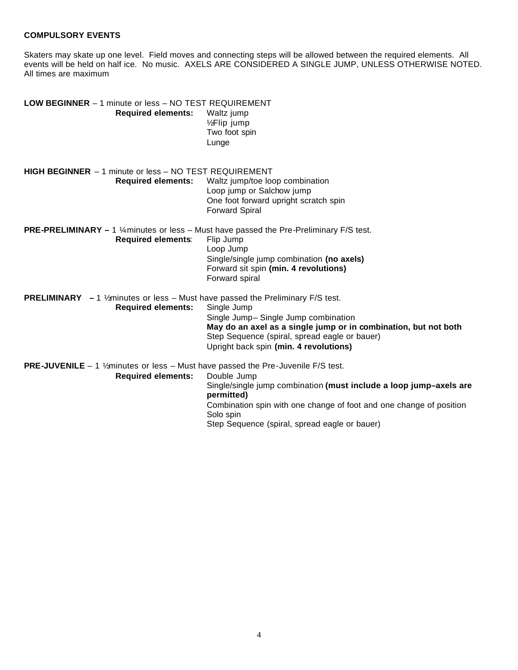# **COMPULSORY EVENTS**

Skaters may skate up one level. Field moves and connecting steps will be allowed between the required elements. All events will be held on half ice. No music. AXELS ARE CONSIDERED A SINGLE JUMP, UNLESS OTHERWISE NOTED. All times are maximum

| <b>LOW BEGINNER</b> - 1 minute or less - NO TEST REQUIREMENT<br><b>Required elements:</b>                 | Waltz jump<br>1/2Flip jump<br>Two foot spin<br>Lunge                                                   |
|-----------------------------------------------------------------------------------------------------------|--------------------------------------------------------------------------------------------------------|
| <b>HIGH BEGINNER</b> - 1 minute or less - NO TEST REQUIREMENT                                             |                                                                                                        |
| <b>Required elements:</b>                                                                                 | Waltz jump/toe loop combination                                                                        |
|                                                                                                           | Loop jump or Salchow jump                                                                              |
|                                                                                                           | One foot forward upright scratch spin<br><b>Forward Spiral</b>                                         |
| <b>PRE-PRELIMINARY</b> – 1 $\frac{1}{4}$ minutes or less – Must have passed the Pre-Preliminary F/S test. |                                                                                                        |
| <b>Required elements:</b>                                                                                 | Flip Jump                                                                                              |
|                                                                                                           | Loop Jump<br>Single/single jump combination (no axels)                                                 |
|                                                                                                           | Forward sit spin (min. 4 revolutions)                                                                  |
|                                                                                                           | Forward spiral                                                                                         |
| PRELIMINARY - 1 1/2minutes or less - Must have passed the Preliminary F/S test.                           |                                                                                                        |
| <b>Required elements:</b>                                                                                 | Single Jump                                                                                            |
|                                                                                                           | Single Jump-Single Jump combination<br>May do an axel as a single jump or in combination, but not both |
|                                                                                                           | Step Sequence (spiral, spread eagle or bauer)                                                          |
|                                                                                                           | Upright back spin (min. 4 revolutions)                                                                 |
| PRE-JUVENILE - 1 1/2minutes or less - Must have passed the Pre-Juvenile F/S test.                         |                                                                                                        |
| <b>Required elements:</b>                                                                                 | Double Jump                                                                                            |
|                                                                                                           | Single/single jump combination (must include a loop jump-axels are<br>permitted)                       |
|                                                                                                           | Combination spin with one change of foot and one change of position<br>Solo spin                       |
|                                                                                                           | Step Sequence (spiral, spread eagle or bauer)                                                          |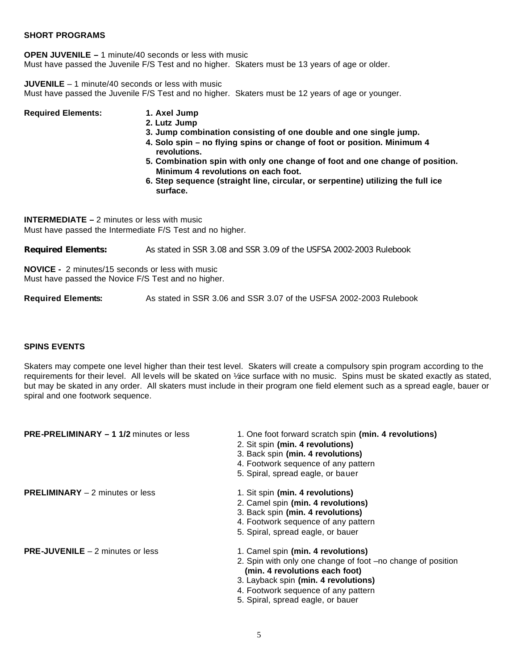# **SHORT PROGRAMS**

**OPEN JUVENILE –** 1 minute/40 seconds or less with music Must have passed the Juvenile F/S Test and no higher. Skaters must be 13 years of age or older.

**JUVENILE** – 1 minute/40 seconds or less with music Must have passed the Juvenile F/S Test and no higher. Skaters must be 12 years of age or younger.

| <b>Required Elements:</b> | 1. Axel Jump                                                                                                        |
|---------------------------|---------------------------------------------------------------------------------------------------------------------|
|                           | 2. Lutz Jump                                                                                                        |
|                           | 3. Jump combination consisting of one double and one single jump.                                                   |
|                           | 4. Solo spin – no flying spins or change of foot or position. Minimum 4<br>revolutions.                             |
|                           | 5. Combination spin with only one change of foot and one change of position.<br>Minimum 4 revolutions on each foot. |
|                           | 6. Step sequence (straight line, circular, or serpentine) utilizing the full ice<br>surface.                        |

**INTERMEDIATE –** 2 minutes or less with music Must have passed the Intermediate F/S Test and no higher.

**Required Elements:** As stated in SSR 3.08 and SSR 3.09 of the USFSA 2002-2003 Rulebook

**NOVICE -** 2 minutes/15 seconds or less with music Must have passed the Novice F/S Test and no higher.

**Required Elements:** As stated in SSR 3.06 and SSR 3.07 of the USFSA 2002-2003 Rulebook

# **SPINS EVENTS**

Skaters may compete one level higher than their test level. Skaters will create a compulsory spin program according to the requirements for their level. All levels will be skated on ¼ce surface with no music. Spins must be skated exactly as stated, but may be skated in any order. All skaters must include in their program one field element such as a spread eagle, bauer or spiral and one footwork sequence.

| <b>PRE-PRELIMINARY - 1 1/2 minutes or less</b> | 1. One foot forward scratch spin (min. 4 revolutions)<br>2. Sit spin (min. 4 revolutions)<br>3. Back spin (min. 4 revolutions)<br>4. Footwork sequence of any pattern<br>5. Spiral, spread eagle, or bauer                                              |
|------------------------------------------------|---------------------------------------------------------------------------------------------------------------------------------------------------------------------------------------------------------------------------------------------------------|
| <b>PRELIMINARY</b> $-2$ minutes or less        | 1. Sit spin (min. 4 revolutions)<br>2. Camel spin (min. 4 revolutions)<br>3. Back spin (min. 4 revolutions)<br>4. Footwork sequence of any pattern<br>5. Spiral, spread eagle, or bauer                                                                 |
| <b>PRE-JUVENILE</b> $-2$ minutes or less       | 1. Camel spin (min. 4 revolutions)<br>2. Spin with only one change of foot -no change of position<br>(min. 4 revolutions each foot)<br>3. Layback spin (min. 4 revolutions)<br>4. Footwork sequence of any pattern<br>5. Spiral, spread eagle, or bauer |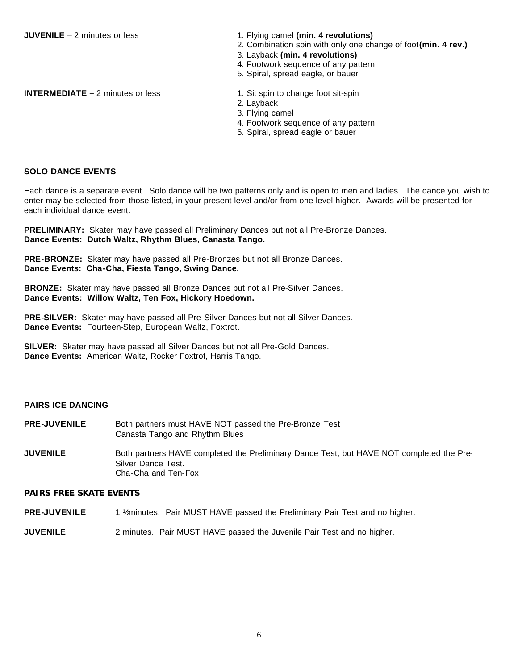**JUVENILE** – 2 minutes or less 1. Flying camel **(min. 4 revolutions)** 

- 2. Combination spin with only one change of foot**(min. 4 rev.)**
- 3. Layback **(min. 4 revolutions)**
- 4. Footwork sequence of any pattern
- 5. Spiral, spread eagle, or bauer

**INTERMEDIATE** – 2 minutes or less 1. Sit spin to change foot sit-spin

- 
- 2. Layback
- 3. Flying camel
- 4. Footwork sequence of any pattern
- 5. Spiral, spread eagle or bauer

### **SOLO DANCE EVENTS**

Each dance is a separate event. Solo dance will be two patterns only and is open to men and ladies. The dance you wish to enter may be selected from those listed, in your present level and/or from one level higher. Awards will be presented for each individual dance event.

**PRELIMINARY:** Skater may have passed all Preliminary Dances but not all Pre-Bronze Dances. **Dance Events: Dutch Waltz, Rhythm Blues, Canasta Tango.**

**PRE-BRONZE:** Skater may have passed all Pre-Bronzes but not all Bronze Dances. **Dance Events: Cha-Cha, Fiesta Tango, Swing Dance.**

**BRONZE:** Skater may have passed all Bronze Dances but not all Pre-Silver Dances. **Dance Events: Willow Waltz, Ten Fox, Hickory Hoedown.**

**PRE-SILVER:** Skater may have passed all Pre-Silver Dances but not all Silver Dances. **Dance Events:** Fourteen-Step, European Waltz, Foxtrot.

**SILVER:** Skater may have passed all Silver Dances but not all Pre-Gold Dances. **Dance Events:** American Waltz, Rocker Foxtrot, Harris Tango.

# **PAIRS ICE DANCING**

- **PRE-JUVENILE** Both partners must HAVE NOT passed the Pre-Bronze Test Canasta Tango and Rhythm Blues
- **JUVENILE** Both partners HAVE completed the Preliminary Dance Test, but HAVE NOT completed the Pre-Silver Dance Test. Cha-Cha and Ten-Fox

# **PAIRS FREE SKATE EVENTS**

- PRE-JUVENILE 1 1/<sub>2</sub> minutes. Pair MUST HAVE passed the Preliminary Pair Test and no higher.
- **JUVENILE** 2 minutes. Pair MUST HAVE passed the Juvenile Pair Test and no higher.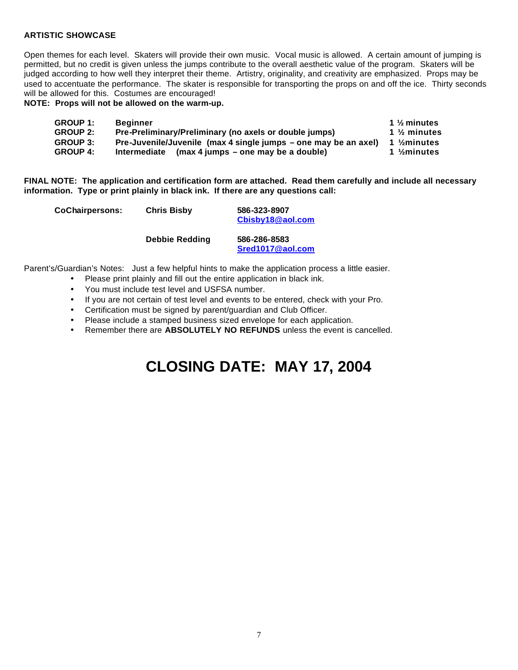# **ARTISTIC SHOWCASE**

Open themes for each level. Skaters will provide their own music. Vocal music is allowed. A certain amount of jumping is permitted, but no credit is given unless the jumps contribute to the overall aesthetic value of the program. Skaters will be judged according to how well they interpret their theme. Artistry, originality, and creativity are emphasized. Props may be used to accentuate the performance. The skater is responsible for transporting the props on and off the ice. Thirty seconds will be allowed for this. Costumes are encouraged!

**NOTE: Props will not be allowed on the warm-up.**

| <b>GROUP 1:</b> | <b>Beginner</b>                                                 | 1 $\frac{1}{2}$ minutes |
|-----------------|-----------------------------------------------------------------|-------------------------|
| <b>GROUP 2:</b> | Pre-Preliminary/Preliminary (no axels or double jumps)          | 1 $\frac{1}{2}$ minutes |
| <b>GROUP 3:</b> | Pre-Juvenile/Juvenile (max 4 single jumps – one may be an axel) | 1 $\frac{1}{2}$ minutes |
| <b>GROUP 4:</b> | Intermediate<br>(max 4 jumps – one may be a double)             | 1 $\frac{1}{2}$ minutes |

**FINAL NOTE: The application and certification form are attached. Read them carefully and include all necessary information. Type or print plainly in black ink. If there are any questions call:**

| <b>CoChairpersons:</b> | <b>Chris Bisby</b>    | 586-323-8907<br>Cbisby18@aol.com |
|------------------------|-----------------------|----------------------------------|
|                        | <b>Debbie Redding</b> | 586-286-8583<br>Sred1017@aol.com |

Parent's/Guardian's Notes: Just a few helpful hints to make the application process a little easier.

- Please print plainly and fill out the entire application in black ink.
- You must include test level and USFSA number.
- If you are not certain of test level and events to be entered, check with your Pro.
- Certification must be signed by parent/guardian and Club Officer.
- Please include a stamped business sized envelope for each application.
- Remember there are **ABSOLUTELY NO REFUNDS** unless the event is cancelled.

# **CLOSING DATE: MAY 17, 2004**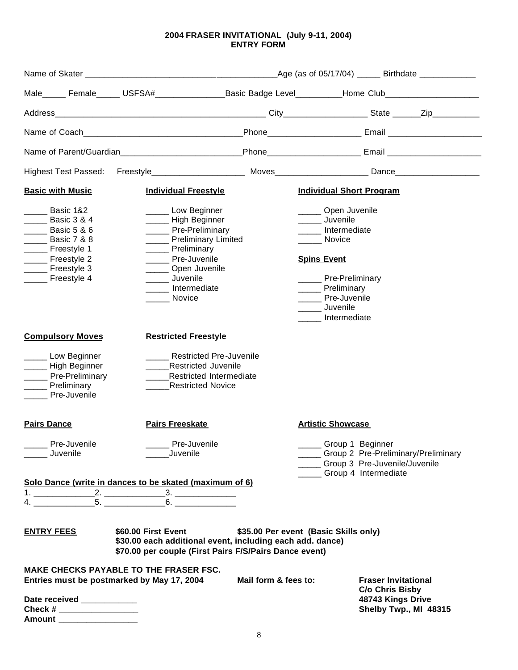# **2004 FRASER INVITATIONAL (July 9-11, 2004) ENTRY FORM**

|                                                                                                                                                                                               |    | Male_____ Female_____ USFSA#_________________Basic Badge Level__________Home Club___________________                                                                                            |                      |                                                                                                                                                                                                        |                                                                                                                           |  |
|-----------------------------------------------------------------------------------------------------------------------------------------------------------------------------------------------|----|-------------------------------------------------------------------------------------------------------------------------------------------------------------------------------------------------|----------------------|--------------------------------------------------------------------------------------------------------------------------------------------------------------------------------------------------------|---------------------------------------------------------------------------------------------------------------------------|--|
|                                                                                                                                                                                               |    |                                                                                                                                                                                                 |                      |                                                                                                                                                                                                        |                                                                                                                           |  |
|                                                                                                                                                                                               |    |                                                                                                                                                                                                 |                      |                                                                                                                                                                                                        |                                                                                                                           |  |
|                                                                                                                                                                                               |    | Name of Parent/Guardian___________________________Phone__________________________ Email ______________________                                                                                  |                      |                                                                                                                                                                                                        |                                                                                                                           |  |
| <b>Highest Test Passed:</b>                                                                                                                                                                   |    |                                                                                                                                                                                                 |                      |                                                                                                                                                                                                        |                                                                                                                           |  |
| <b>Basic with Music</b>                                                                                                                                                                       |    | <b>Individual Freestyle</b>                                                                                                                                                                     |                      | <b>Individual Short Program</b>                                                                                                                                                                        |                                                                                                                           |  |
| Basic 1&2<br><b>Example 3 &amp; 4</b><br><b>Example 3</b> Basic 5 & 6<br><b>Example 3</b> Basic 7 & 8<br>______ Freestyle 1<br>______ Freestyle 2<br>______ Freestyle 3<br>______ Freestyle 4 |    | ______ Low Beginner<br>______ High Beginner<br>_____ Pre-Preliminary<br>Preliminary Limited<br>Preliminary<br>Pre-Juvenile<br>Open Juvenile<br><b>Juvenile</b><br>Intermediate<br><b>Novice</b> |                      | ______ Open Juvenile<br>______ Juvenile<br>____ Intermediate<br>Novice<br><b>Spins Event</b><br>______ Pre-Preliminary<br>______ Preliminary<br>______ Pre-Juvenile<br>______ Juvenile<br>Intermediate |                                                                                                                           |  |
| <b>Compulsory Moves</b>                                                                                                                                                                       |    | <b>Restricted Freestyle</b>                                                                                                                                                                     |                      |                                                                                                                                                                                                        |                                                                                                                           |  |
| Low Beginner<br>______ High Beginner<br>_____ Pre-Preliminary<br>Preliminary<br><b>Pre-Juvenile</b>                                                                                           |    | <b>Restricted Pre-Juvenile</b><br><b>Restricted Juvenile</b><br>Restricted Intermediate<br><b>Restricted Novice</b>                                                                             |                      |                                                                                                                                                                                                        |                                                                                                                           |  |
| <b>Pairs Dance</b>                                                                                                                                                                            |    | <b>Pairs Freeskate</b>                                                                                                                                                                          |                      | <b>Artistic Showcase</b>                                                                                                                                                                               |                                                                                                                           |  |
| Pre-Juvenile<br>Juvenile                                                                                                                                                                      |    | Pre-Juvenile<br>Juvenile                                                                                                                                                                        |                      |                                                                                                                                                                                                        | Group 1 Beginner<br>__ Group 2 Pre-Preliminary/Preliminary<br>__ Group 3 Pre-Juvenile/Juvenile<br>__ Group 4 Intermediate |  |
|                                                                                                                                                                                               |    | Solo Dance (write in dances to be skated (maximum of 6)                                                                                                                                         |                      |                                                                                                                                                                                                        |                                                                                                                           |  |
|                                                                                                                                                                                               | 5. | 6.                                                                                                                                                                                              |                      |                                                                                                                                                                                                        |                                                                                                                           |  |
| <b>ENTRY FEES</b>                                                                                                                                                                             |    | \$60.00 First Event<br>\$30.00 each additional event, including each add. dance)<br>\$70.00 per couple (First Pairs F/S/Pairs Dance event)                                                      |                      | \$35.00 Per event (Basic Skills only)                                                                                                                                                                  |                                                                                                                           |  |
|                                                                                                                                                                                               |    | <b>MAKE CHECKS PAYABLE TO THE FRASER FSC.</b><br>Entries must be postmarked by May 17, 2004                                                                                                     | Mail form & fees to: |                                                                                                                                                                                                        | <b>Fraser Invitational</b>                                                                                                |  |
| Date received ___________<br>Check # _______________________<br>Amount ___________________                                                                                                    |    |                                                                                                                                                                                                 |                      |                                                                                                                                                                                                        | C/o Chris Bisby<br>48743 Kings Drive<br>Shelby Twp., MI 48315                                                             |  |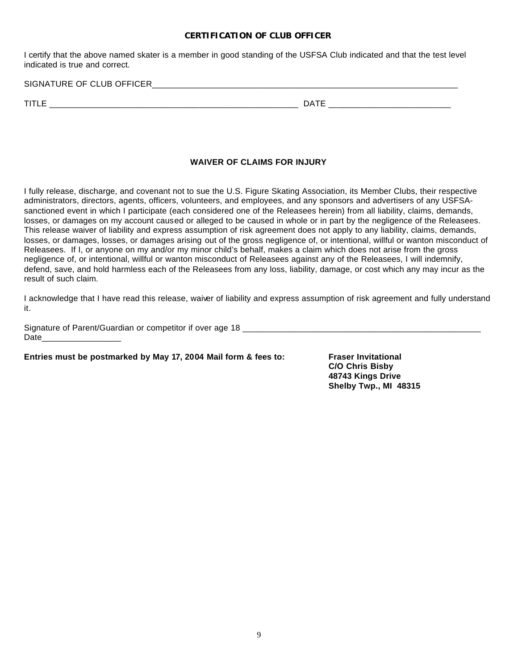#### **CERTIFICATION OF CLUB OFFICER**

I certify that the above named skater is a member in good standing of the USFSA Club indicated and that the test level indicated is true and correct.

SIGNATURE OF CLUB OFFICER\_\_\_\_\_\_\_\_\_\_\_\_\_\_\_\_\_\_\_\_\_\_\_\_\_\_\_\_\_\_\_\_\_\_\_\_\_\_\_\_\_\_\_\_\_\_\_\_\_\_\_\_\_\_\_\_\_\_\_\_\_\_\_\_\_

TITLE \_\_\_\_\_\_\_\_\_\_\_\_\_\_\_\_\_\_\_\_\_\_\_\_\_\_\_\_\_\_\_\_\_\_\_\_\_\_\_\_\_\_\_\_\_\_\_\_\_\_\_\_\_ DATE \_\_\_\_\_\_\_\_\_\_\_\_\_\_\_\_\_\_\_\_\_\_\_\_\_\_

# **WAIVER OF CLAIMS FOR INJURY**

I fully release, discharge, and covenant not to sue the U.S. Figure Skating Association, its Member Clubs, their respective administrators, directors, agents, officers, volunteers, and employees, and any sponsors and advertisers of any USFSAsanctioned event in which I participate (each considered one of the Releasees herein) from all liability, claims, demands, losses, or damages on my account caused or alleged to be caused in whole or in part by the negligence of the Releasees. This release waiver of liability and express assumption of risk agreement does not apply to any liability, claims, demands, losses, or damages, losses, or damages arising out of the gross negligence of, or intentional, willful or wanton misconduct of Releasees. If I, or anyone on my and/or my minor child's behalf, makes a claim which does not arise from the gross negligence of, or intentional, willful or wanton misconduct of Releasees against any of the Releasees, I will indemnify, defend, save, and hold harmless each of the Releasees from any loss, liability, damage, or cost which any may incur as the result of such claim.

I acknowledge that I have read this release, waiver of liability and express assumption of risk agreement and fully understand it.

Signature of Parent/Guardian or competitor if over age 18 \_\_\_\_\_\_\_\_\_\_\_\_\_\_\_\_\_\_\_\_\_\_\_\_\_\_\_\_\_\_\_\_\_\_\_\_\_\_\_\_\_\_\_\_\_\_\_\_\_\_\_ Date **Date** 

**Entries must be postmarked by May 17, 2004 Mail form & fees to: Fraser Invitational**

**C/O Chris Bisby 48743 Kings Drive Shelby Twp., MI 48315**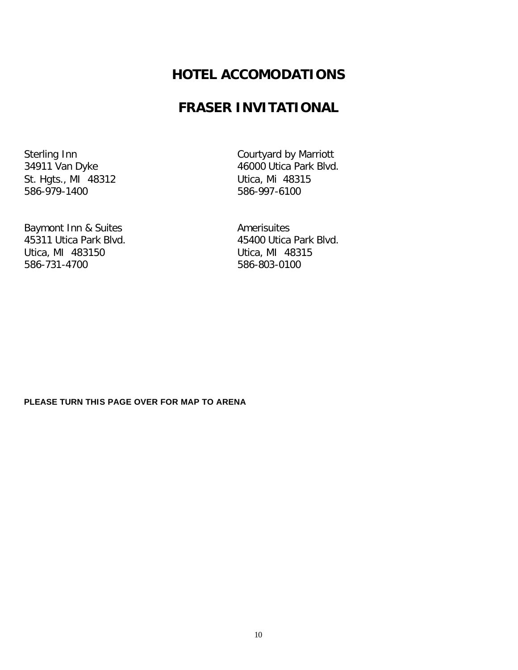# **HOTEL ACCOMODATIONS**

# **FRASER INVITATIONAL**

St. Hgts., MI 48312 Utica, Mi 48315 586-979-1400 586-997-6100

Baymont Inn & Suites **Amerisuites** Amerisuites 45311 Utica Park Blvd. 45400 Utica Park Blvd. Utica, MI 483150 Utica, MI 48315 586-731-4700 586-803-0100

Sterling Inn<br>
34911 Van Dyke<br>
34911 Van Dyke<br>
26000 Utica Park Blvd 46000 Utica Park Blvd.

# **PLEASE TURN THIS PAGE OVER FOR MAP TO ARENA**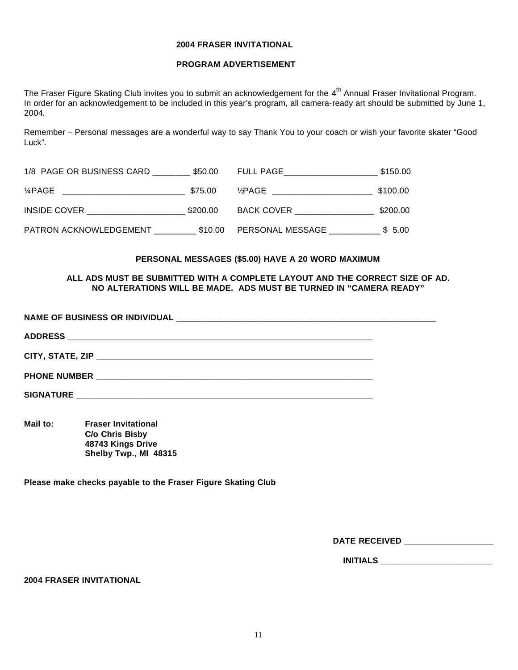#### **2004 FRASER INVITATIONAL**

# **PROGRAM ADVERTISEMENT**

The Fraser Figure Skating Club invites you to submit an acknowledgement for the 4<sup>th</sup> Annual Fraser Invitational Program. In order for an acknowledgement to be included in this year's program, all camera-ready art should be submitted by June 1, 2004.

Remember – Personal messages are a wonderful way to say Thank You to your coach or wish your favorite skater "Good Luck".

| 1/8 PAGE OR BUSINESS CARD | \$50.00  | FULL PAGE         | \$150.00 |
|---------------------------|----------|-------------------|----------|
| 1⁄4 PAGE                  | \$75.00  | 1⁄⁄PAGE           | \$100.00 |
| INSIDE COVER              | \$200.00 | <b>BACK COVER</b> | \$200.00 |
| PATRON ACKNOWLEDGEMENT    | \$10.00  | PERSONAL MESSAGE  | \$ 5.00  |

#### **PERSONAL MESSAGES (\$5.00) HAVE A 20 WORD MAXIMUM**

#### **ALL ADS MUST BE SUBMITTED WITH A COMPLETE LAYOUT AND THE CORRECT SIZE OF AD. NO ALTERATIONS WILL BE MADE. ADS MUST BE TURNED IN "CAMERA READY"**

**Mail to: Fraser Invitational C/o Chris Bisby 48743 Kings Drive Shelby Twp., MI 48315**

**Please make checks payable to the Fraser Figure Skating Club**

DATE RECEIVED **and the Received** 

**INITIALS \_\_\_\_\_\_\_\_\_\_\_\_\_\_\_\_\_\_\_\_\_\_\_\_**

#### **2004 FRASER INVITATIONAL**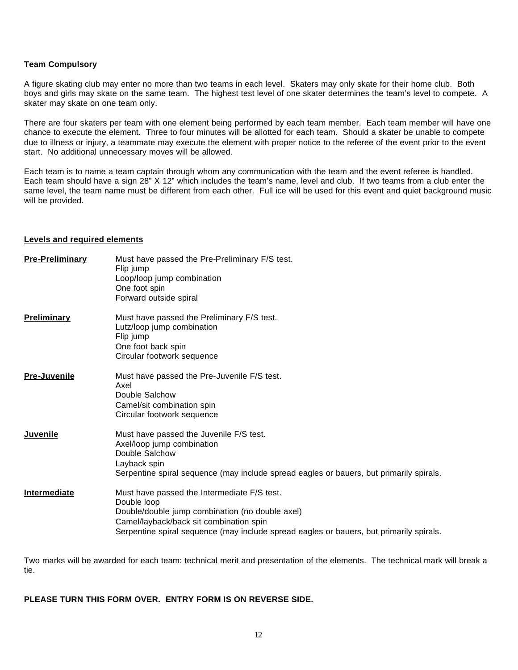### **Team Compulsory**

A figure skating club may enter no more than two teams in each level. Skaters may only skate for their home club. Both boys and girls may skate on the same team. The highest test level of one skater determines the team's level to compete. A skater may skate on one team only.

There are four skaters per team with one element being performed by each team member. Each team member will have one chance to execute the element. Three to four minutes will be allotted for each team. Should a skater be unable to compete due to illness or injury, a teammate may execute the element with proper notice to the referee of the event prior to the event start. No additional unnecessary moves will be allowed.

Each team is to name a team captain through whom any communication with the team and the event referee is handled. Each team should have a sign 28" X 12" which includes the team's name, level and club. If two teams from a club enter the same level, the team name must be different from each other. Full ice will be used for this event and quiet background music will be provided.

#### **Levels and required elements**

| <b>Pre-Preliminary</b> | Must have passed the Pre-Preliminary F/S test.<br>Flip jump<br>Loop/loop jump combination<br>One foot spin<br>Forward outside spiral                                                                                                                |
|------------------------|-----------------------------------------------------------------------------------------------------------------------------------------------------------------------------------------------------------------------------------------------------|
| <b>Preliminary</b>     | Must have passed the Preliminary F/S test.<br>Lutz/loop jump combination<br>Flip jump<br>One foot back spin<br>Circular footwork sequence                                                                                                           |
| <b>Pre-Juvenile</b>    | Must have passed the Pre-Juvenile F/S test.<br>Axel<br>Double Salchow<br>Camel/sit combination spin<br>Circular footwork sequence                                                                                                                   |
| Juvenile               | Must have passed the Juvenile F/S test.<br>Axel/loop jump combination<br>Double Salchow<br>Layback spin<br>Serpentine spiral sequence (may include spread eagles or bauers, but primarily spirals.                                                  |
| Intermediate           | Must have passed the Intermediate F/S test.<br>Double loop<br>Double/double jump combination (no double axel)<br>Camel/layback/back sit combination spin<br>Serpentine spiral sequence (may include spread eagles or bauers, but primarily spirals. |

Two marks will be awarded for each team: technical merit and presentation of the elements. The technical mark will break a tie.

# **PLEASE TURN THIS FORM OVER. ENTRY FORM IS ON REVERSE SIDE.**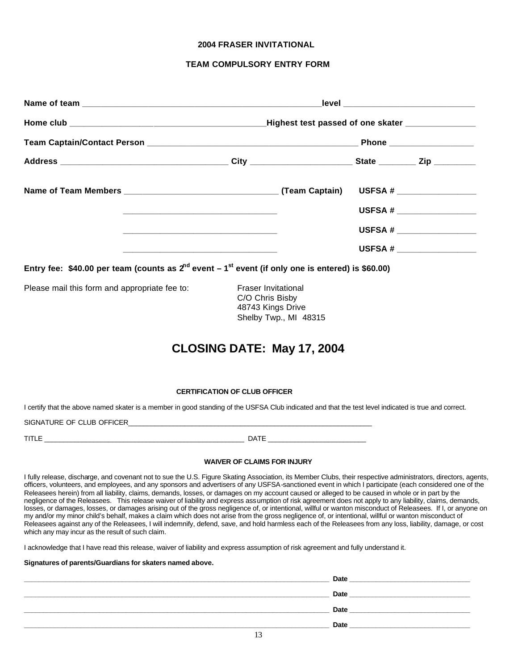#### **2004 FRASER INVITATIONAL**

#### **TEAM COMPULSORY ENTRY FORM**

|                                                                                                            | the control of the control of the control of the control of the control of the control of the control of the control of the control of the control of the control of the control of the control of the control of the control |                       |  |  |
|------------------------------------------------------------------------------------------------------------|-------------------------------------------------------------------------------------------------------------------------------------------------------------------------------------------------------------------------------|-----------------------|--|--|
|                                                                                                            | the control of the control of the control of the control of the control of the control of the control of the control of the control of the control of the control of the control of the control of the control of the control |                       |  |  |
|                                                                                                            | the control of the control of the control of the control of the control of the control of the control of the control of the control of the control of the control of the control of the control of the control of the control |                       |  |  |
| Entry fee: \$40.00 per team (counts as $2^{nd}$ event $-1^{st}$ event (if only one is entered) is \$60.00) |                                                                                                                                                                                                                               |                       |  |  |
| Please mail this form and appropriate fee to:                                                              | <b>Fraser Invitational</b><br>C/O Chris Bisby<br>48743 Kings Drive                                                                                                                                                            | Shelby Twp., MI 48315 |  |  |
|                                                                                                            | CLOSING DATE: May 17, 2004                                                                                                                                                                                                    |                       |  |  |

#### **CERTIFICATION OF CLUB OFFICER**

I certify that the above named skater is a member in good standing of the USFSA Club indicated and that the test level indicated is true and correct.

SIGNATURE OF CLUB OFFICER\_\_\_\_\_\_\_\_\_\_\_\_\_\_\_\_\_\_\_\_\_\_\_\_\_\_\_\_\_\_\_\_\_\_\_\_\_\_\_\_\_\_\_\_\_\_\_\_\_\_\_\_\_\_\_\_\_\_\_\_\_\_\_\_\_

TITLE \_\_\_\_\_\_\_\_\_\_\_\_\_\_\_\_\_\_\_\_\_\_\_\_\_\_\_\_\_\_\_\_\_\_\_\_\_\_\_\_\_\_\_\_\_\_\_\_\_\_\_\_\_ DATE \_\_\_\_\_\_\_\_\_\_\_\_\_\_\_\_\_\_\_\_\_\_\_\_\_\_

#### **WAIVER OF CLAIMS FOR INJURY**

I fully release, discharge, and covenant not to sue the U.S. Figure Skating Association, its Member Clubs, their respective administrators, directors, agents, officers, volunteers, and employees, and any sponsors and advertisers of any USFSA-sanctioned event in which I participate (each considered one of the Releasees herein) from all liability, claims, demands, losses, or damages on my account caused or alleged to be caused in whole or in part by the negligence of the Releasees. This release waiver of liability and express assumption of risk agreement does not apply to any liability, claims, demands, losses, or damages, losses, or damages arising out of the gross negligence of, or intentional, willful or wanton misconduct of Releasees. If I, or anyone on my and/or my minor child's behalf, makes a claim which does not arise from the gross negligence of, or intentional, willful or wanton misconduct of Releasees against any of the Releasees, I will indemnify, defend, save, and hold harmless each of the Releasees from any loss, liability, damage, or cost which any may incur as the result of such claim.

I acknowledge that I have read this release, waiver of liability and express assumption of risk agreement and fully understand it.

#### **Signatures of parents/Guardians for skaters named above.**

| <b>Date</b> |
|-------------|
| <b>Date</b> |
| <b>Date</b> |
| Date        |
|             |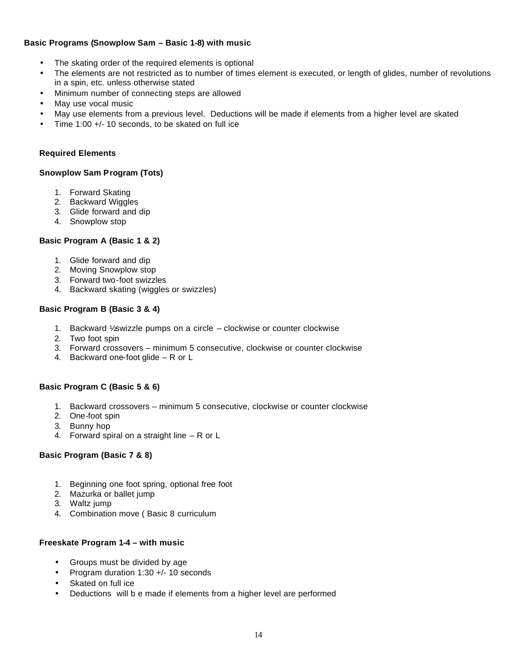# **Basic Programs (Snowplow Sam – Basic 1-8) with music**

- The skating order of the required elements is optional
- The elements are not restricted as to number of times element is executed, or length of glides, number of revolutions in a spin, etc. unless otherwise stated
- Minimum number of connecting steps are allowed
- May use vocal music
- May use elements from a previous level. Deductions will be made if elements from a higher level are skated
- Time 1:00 +/- 10 seconds, to be skated on full ice

# **Required Elements**

# **Snowplow Sam Program (Tots)**

- 1. Forward Skating
- 2. Backward Wiggles
- 3. Glide forward and dip
- 4. Snowplow stop

# **Basic Program A (Basic 1 & 2)**

- 1. Glide forward and dip
- 2. Moving Snowplow stop
- 3. Forward two-foot swizzles
- 4. Backward skating (wiggles or swizzles)

# **Basic Program B (Basic 3 & 4)**

- 1. Backward  $\frac{1}{2}$  swizzle pumps on a circle clockwise or counter clockwise
- 2. Two foot spin
- 3. Forward crossovers minimum 5 consecutive, clockwise or counter clockwise
- 4. Backward one-foot glide R or L

# **Basic Program C (Basic 5 & 6)**

- 1. Backward crossovers minimum 5 consecutive, clockwise or counter clockwise
- 2. One-foot spin
- 3. Bunny hop
- 4. Forward spiral on a straight line R or L

# **Basic Program (Basic 7 & 8)**

- 1. Beginning one foot spring, optional free foot
- 2. Mazurka or ballet jump
- 3. Waltz jump
- 4. Combination move ( Basic 8 curriculum

### **Freeskate Program 1-4 – with music**

- Groups must be divided by age
- Program duration 1:30 +/- 10 seconds
- Skated on full ice
- Deductions will b e made if elements from a higher level are performed